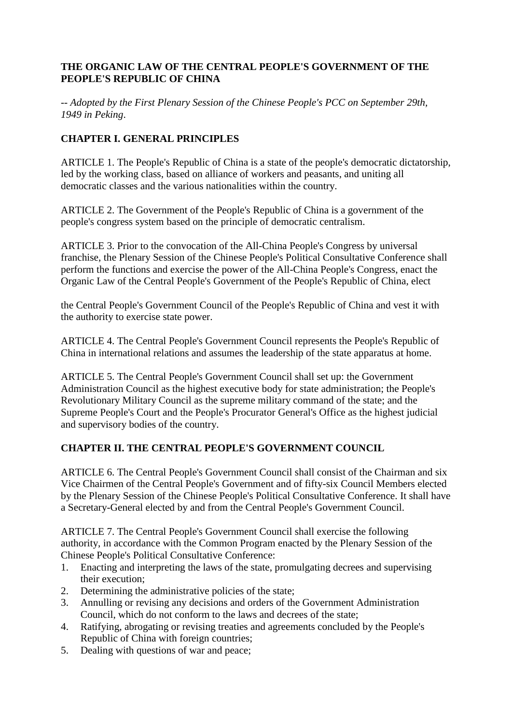# **THE ORGANIC LAW OF THE CENTRAL PEOPLE'S GOVERNMENT OF THE PEOPLE'S REPUBLIC OF CHINA**

-- *Adopted by the First Plenary Session of the Chinese People's PCC on September 29th, 1949 in Peking*.

# **CHAPTER I. GENERAL PRINCIPLES**

ARTICLE 1. The People's Republic of China is a state of the people's democratic dictatorship, led by the working class, based on alliance of workers and peasants, and uniting all democratic classes and the various nationalities within the country.

ARTICLE 2. The Government of the People's Republic of China is a government of the people's congress system based on the principle of democratic centralism.

ARTICLE 3. Prior to the convocation of the All-China People's Congress by universal franchise, the Plenary Session of the Chinese People's Political Consultative Conference shall perform the functions and exercise the power of the All-China People's Congress, enact the Organic Law of the Central People's Government of the People's Republic of China, elect

the Central People's Government Council of the People's Republic of China and vest it with the authority to exercise state power.

ARTICLE 4. The Central People's Government Council represents the People's Republic of China in international relations and assumes the leadership of the state apparatus at home.

ARTICLE 5. The Central People's Government Council shall set up: the Government Administration Council as the highest executive body for state administration; the People's Revolutionary Military Council as the supreme military command of the state; and the Supreme People's Court and the People's Procurator General's Office as the highest judicial and supervisory bodies of the country.

### **CHAPTER II. THE CENTRAL PEOPLE'S GOVERNMENT COUNCIL**

ARTICLE 6. The Central People's Government Council shall consist of the Chairman and six Vice Chairmen of the Central People's Government and of fifty-six Council Members elected by the Plenary Session of the Chinese People's Political Consultative Conference. It shall have a Secretary-General elected by and from the Central People's Government Council.

ARTICLE 7. The Central People's Government Council shall exercise the following authority, in accordance with the Common Program enacted by the Plenary Session of the Chinese People's Political Consultative Conference:

- 1. Enacting and interpreting the laws of the state, promulgating decrees and supervising their execution;
- 2. Determining the administrative policies of the state;
- 3. Annulling or revising any decisions and orders of the Government Administration Council, which do not conform to the laws and decrees of the state;
- 4. Ratifying, abrogating or revising treaties and agreements concluded by the People's Republic of China with foreign countries;
- 5. Dealing with questions of war and peace;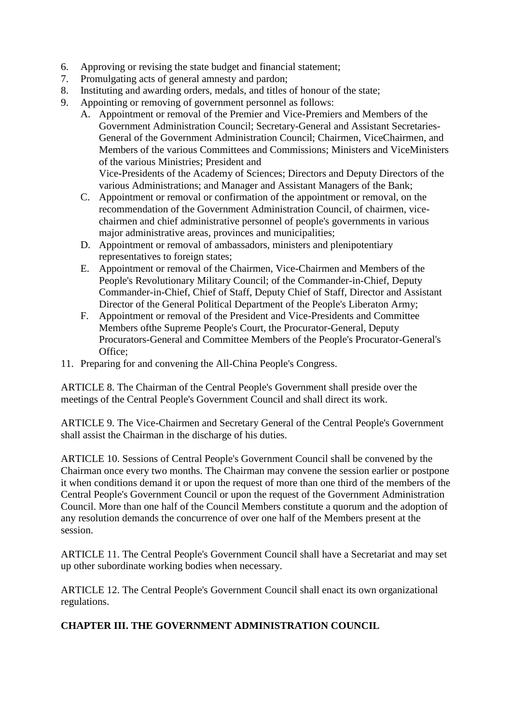- 6. Approving or revising the state budget and financial statement;
- 7. Promulgating acts of general amnesty and pardon;
- 8. Instituting and awarding orders, medals, and titles of honour of the state;
- 9. Appointing or removing of government personnel as follows:
	- A. Appointment or removal of the Premier and Vice-Premiers and Members of the Government Administration Council; Secretary-General and Assistant Secretaries-General of the Government Administration Council; Chairmen, ViceChairmen, and Members of the various Committees and Commissions; Ministers and ViceMinisters of the various Ministries; President and Vice-Presidents of the Academy of Sciences; Directors and Deputy Directors of the various Administrations; and Manager and Assistant Managers of the Bank;
	- C. Appointment or removal or confirmation of the appointment or removal, on the recommendation of the Government Administration Council, of chairmen, vicechairmen and chief administrative personnel of people's governments in various major administrative areas, provinces and municipalities;
	- D. Appointment or removal of ambassadors, ministers and plenipotentiary representatives to foreign states;
	- E. Appointment or removal of the Chairmen, Vice-Chairmen and Members of the People's Revolutionary Military Council; of the Commander-in-Chief, Deputy Commander-in-Chief, Chief of Staff, Deputy Chief of Staff, Director and Assistant Director of the General Political Department of the People's Liberaton Army;
	- F. Appointment or removal of the President and Vice-Presidents and Committee Members ofthe Supreme People's Court, the Procurator-General, Deputy Procurators-General and Committee Members of the People's Procurator-General's Office;
- 11. Preparing for and convening the All-China People's Congress.

ARTICLE 8. The Chairman of the Central People's Government shall preside over the meetings of the Central People's Government Council and shall direct its work.

ARTICLE 9. The Vice-Chairmen and Secretary General of the Central People's Government shall assist the Chairman in the discharge of his duties.

ARTICLE 10. Sessions of Central People's Government Council shall be convened by the Chairman once every two months. The Chairman may convene the session earlier or postpone it when conditions demand it or upon the request of more than one third of the members of the Central People's Government Council or upon the request of the Government Administration Council. More than one half of the Council Members constitute a quorum and the adoption of any resolution demands the concurrence of over one half of the Members present at the session.

ARTICLE 11. The Central People's Government Council shall have a Secretariat and may set up other subordinate working bodies when necessary.

ARTICLE 12. The Central People's Government Council shall enact its own organizational regulations.

### **CHAPTER III. THE GOVERNMENT ADMINISTRATION COUNCIL**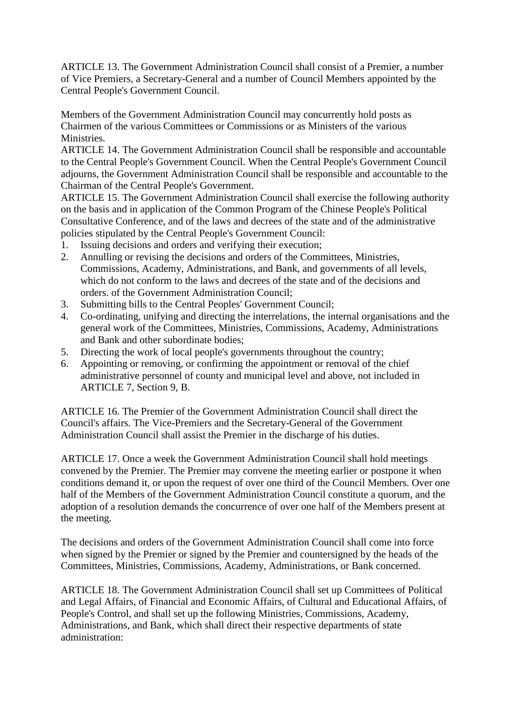ARTICLE 13. The Government Administration Council shall consist of a Premier, a number of Vice Premiers, a Secretary-General and a number of Council Members appointed by the Central People's Government Council.

Members of the Government Administration Council may concurrently hold posts as Chairmen of the various Committees or Commissions or as Ministers of the various Ministries.

ARTICLE 14. The Government Administration Council shall be responsible and accountable to the Central People's Government Council. When the Central People's Government Council adjourns, the Government Administration Council shall be responsible and accountable to the Chairman of the Central People's Government.

ARTICLE 15. The Government Administration Council shall exercise the following authority on the basis and in application of the Common Program of the Chinese People's Political Consultative Conference, and of the laws and decrees of the state and of the administrative policies stipulated by the Central People's Government Council:

- 1. Issuing decisions and orders and verifying their execution;
- 2. Annulling or revising the decisions and orders of the Committees, Ministries, Commissions, Academy, Administrations, and Bank, and governments of all levels, which do not conform to the laws and decrees of the state and of the decisions and orders. of the Government Administration Council;
- 3. Submitting bills to the Central Peoples' Government Council;
- 4. Co-ordinating, unifying and directing the interrelations, the internal organisations and the general work of the Committees, Ministries, Commissions, Academy, Administrations and Bank and other subordinate bodies;
- 5. Directing the work of local people's governments throughout the country;
- 6. Appointing or removing, or confirming the appointment or removal of the chief administrative personnel of county and municipal level and above, not included in ARTICLE 7, Section 9, B.

ARTICLE 16. The Premier of the Government Administration Council shall direct the Council's affairs. The Vice-Premiers and the Secretary-General of the Government Administration Council shall assist the Premier in the discharge of his duties.

ARTICLE 17. Once a week the Government Administration Council shall hold meetings convened by the Premier. The Premier may convene the meeting earlier or postpone it when conditions demand it, or upon the request of over one third of the Council Members. Over one half of the Members of the Government Administration Council constitute a quorum, and the adoption of a resolution demands the concurrence of over one half of the Members present at the meeting.

The decisions and orders of the Government Administration Council shall come into force when signed by the Premier or signed by the Premier and countersigned by the heads of the Committees, Ministries, Commissions, Academy, Administrations, or Bank concerned.

ARTICLE 18. The Government Administration Council shall set up Committees of Political and Legal Affairs, of Financial and Economic Affairs, of Cultural and Educational Affairs, of People's Control, and shall set up the following Ministries, Commissions, Academy, Administrations, and Bank, which shall direct their respective departments of state administration: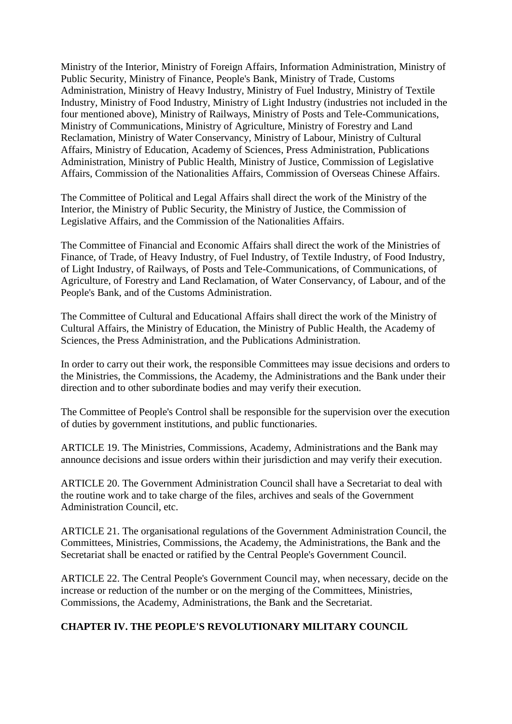Ministry of the Interior, Ministry of Foreign Affairs, Information Administration, Ministry of Public Security, Ministry of Finance, People's Bank, Ministry of Trade, Customs Administration, Ministry of Heavy Industry, Ministry of Fuel Industry, Ministry of Textile Industry, Ministry of Food Industry, Ministry of Light Industry (industries not included in the four mentioned above), Ministry of Railways, Ministry of Posts and Tele-Communications, Ministry of Communications, Ministry of Agriculture, Ministry of Forestry and Land Reclamation, Ministry of Water Conservancy, Ministry of Labour, Ministry of Cultural Affairs, Ministry of Education, Academy of Sciences, Press Administration, Publications Administration, Ministry of Public Health, Ministry of Justice, Commission of Legislative Affairs, Commission of the Nationalities Affairs, Commission of Overseas Chinese Affairs.

The Committee of Political and Legal Affairs shall direct the work of the Ministry of the Interior, the Ministry of Public Security, the Ministry of Justice, the Commission of Legislative Affairs, and the Commission of the Nationalities Affairs.

The Committee of Financial and Economic Affairs shall direct the work of the Ministries of Finance, of Trade, of Heavy Industry, of Fuel Industry, of Textile Industry, of Food Industry, of Light Industry, of Railways, of Posts and Tele-Communications, of Communications, of Agriculture, of Forestry and Land Reclamation, of Water Conservancy, of Labour, and of the People's Bank, and of the Customs Administration.

The Committee of Cultural and Educational Affairs shall direct the work of the Ministry of Cultural Affairs, the Ministry of Education, the Ministry of Public Health, the Academy of Sciences, the Press Administration, and the Publications Administration.

In order to carry out their work, the responsible Committees may issue decisions and orders to the Ministries, the Commissions, the Academy, the Administrations and the Bank under their direction and to other subordinate bodies and may verify their execution.

The Committee of People's Control shall be responsible for the supervision over the execution of duties by government institutions, and public functionaries.

ARTICLE 19. The Ministries, Commissions, Academy, Administrations and the Bank may announce decisions and issue orders within their jurisdiction and may verify their execution.

ARTICLE 20. The Government Administration Council shall have a Secretariat to deal with the routine work and to take charge of the files, archives and seals of the Government Administration Council, etc.

ARTICLE 21. The organisational regulations of the Government Administration Council, the Committees, Ministries, Commissions, the Academy, the Administrations, the Bank and the Secretariat shall be enacted or ratified by the Central People's Government Council.

ARTICLE 22. The Central People's Government Council may, when necessary, decide on the increase or reduction of the number or on the merging of the Committees, Ministries, Commissions, the Academy, Administrations, the Bank and the Secretariat.

### **CHAPTER IV. THE PEOPLE'S REVOLUTIONARY MILITARY COUNCIL**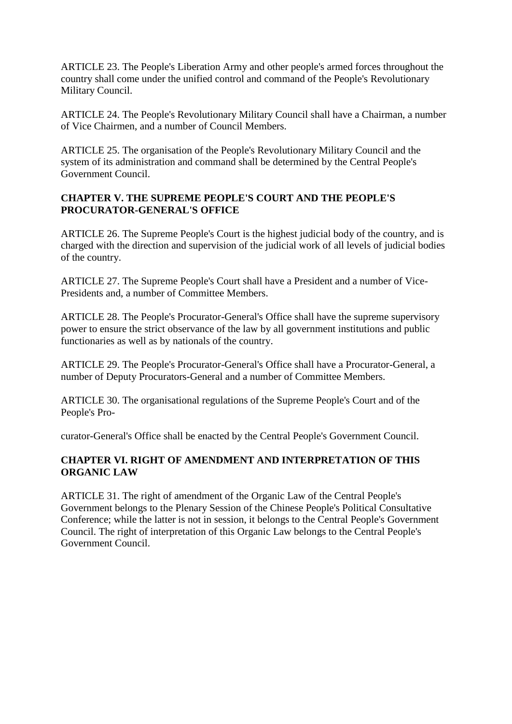ARTICLE 23. The People's Liberation Army and other people's armed forces throughout the country shall come under the unified control and command of the People's Revolutionary Military Council.

ARTICLE 24. The People's Revolutionary Military Council shall have a Chairman, a number of Vice Chairmen, and a number of Council Members.

ARTICLE 25. The organisation of the People's Revolutionary Military Council and the system of its administration and command shall be determined by the Central People's Government Council.

### **CHAPTER V. THE SUPREME PEOPLE'S COURT AND THE PEOPLE'S PROCURATOR-GENERAL'S OFFICE**

ARTICLE 26. The Supreme People's Court is the highest judicial body of the country, and is charged with the direction and supervision of the judicial work of all levels of judicial bodies of the country.

ARTICLE 27. The Supreme People's Court shall have a President and a number of Vice-Presidents and, a number of Committee Members.

ARTICLE 28. The People's Procurator-General's Office shall have the supreme supervisory power to ensure the strict observance of the law by all government institutions and public functionaries as well as by nationals of the country.

ARTICLE 29. The People's Procurator-General's Office shall have a Procurator-General, a number of Deputy Procurators-General and a number of Committee Members.

ARTICLE 30. The organisational regulations of the Supreme People's Court and of the People's Pro-

curator-General's Office shall be enacted by the Central People's Government Council.

# **CHAPTER VI. RIGHT OF AMENDMENT AND INTERPRETATION OF THIS ORGANIC LAW**

ARTICLE 31. The right of amendment of the Organic Law of the Central People's Government belongs to the Plenary Session of the Chinese People's Political Consultative Conference; while the latter is not in session, it belongs to the Central People's Government Council. The right of interpretation of this Organic Law belongs to the Central People's Government Council.